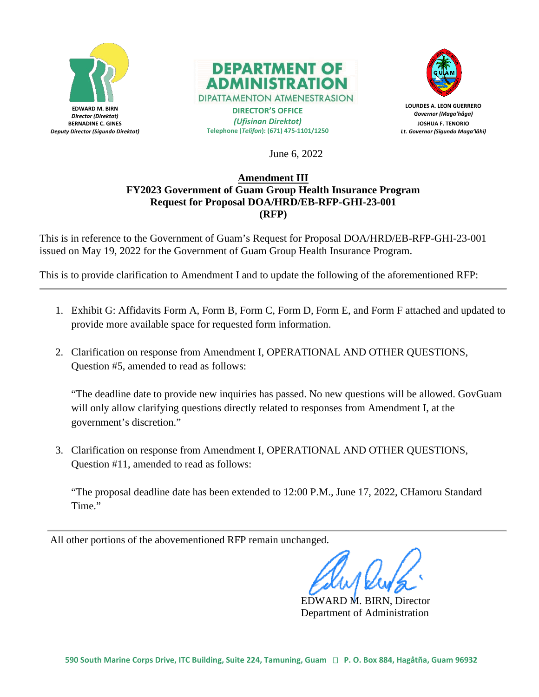



**DIPATTAMENTON ATMENESTRASION DIRECTOR'S OFFICE**

*(Ufisinan Direktot)* **Telephone (***Telifon***): (671) 475-1101/1250**



**LOURDES A. LEON GUERRERO** *Governor (Maga'håga)* **JOSHUA F. TENORIO** *Lt. Governor (Sigundo Maga'låhi)*

June 6, 2022

# **Amendment III FY2023 Government of Guam Group Health Insurance Program Request for Proposal DOA/HRD/EB-RFP-GHI-23-001 (RFP)**

This is in reference to the Government of Guam's Request for Proposal DOA/HRD/EB-RFP-GHI-23-001 issued on May 19, 2022 for the Government of Guam Group Health Insurance Program.

This is to provide clarification to Amendment I and to update the following of the aforementioned RFP:

- 1. Exhibit G: Affidavits Form A, Form B, Form C, Form D, Form E, and Form F attached and updated to provide more available space for requested form information.
- 2. Clarification on response from Amendment I, OPERATIONAL AND OTHER QUESTIONS, Question #5, amended to read as follows:

"The deadline date to provide new inquiries has passed. No new questions will be allowed. GovGuam will only allow clarifying questions directly related to responses from Amendment I, at the government's discretion."

3. Clarification on response from Amendment I, OPERATIONAL AND OTHER QUESTIONS, Question #11, amended to read as follows:

"The proposal deadline date has been extended to 12:00 P.M., June 17, 2022, CHamoru Standard Time."

All other portions of the abovementioned RFP remain unchanged.

EDWARD M. BIRN, Director Department of Administration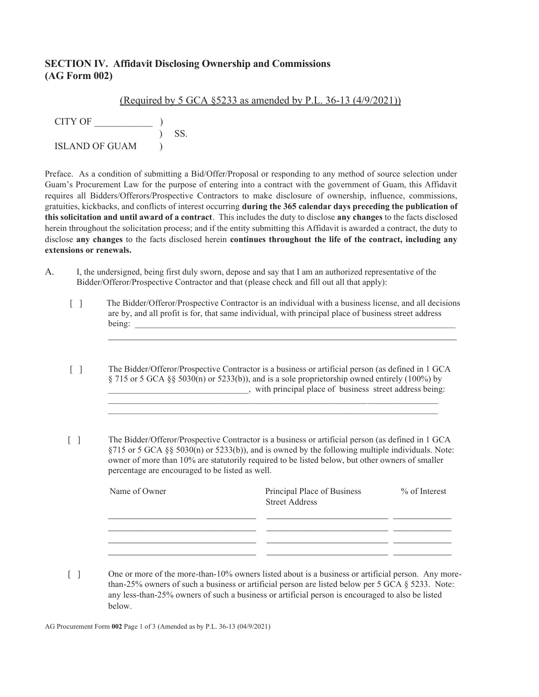### **SECTION IV. Affidavit Disclosing Ownership and Commissions (AG Form 002)**

|                       | (Required by 5 GCA $\S$ 5233 as amended by P.L. 36-13 (4/9/2021)) |
|-----------------------|-------------------------------------------------------------------|
| CITY OF               |                                                                   |
|                       | SS.                                                               |
| <b>ISLAND OF GUAM</b> |                                                                   |
|                       |                                                                   |

Preface. As a condition of submitting a Bid/Offer/Proposal or responding to any method of source selection under Guam's Procurement Law for the purpose of entering into a contract with the government of Guam, this Affidavit requires all Bidders/Offerors/Prospective Contractors to make disclosure of ownership, influence, commissions, gratuities, kickbacks, and conflicts of interest occurring **during the 365 calendar days preceding the publication of this solicitation and until award of a contract**. This includes the duty to disclose **any changes** to the facts disclosed herein throughout the solicitation process; and if the entity submitting this Affidavit is awarded a contract, the duty to disclose **any changes** to the facts disclosed herein **continues throughout the life of the contract, including any extensions or renewals.** 

- A. I, the undersigned, being first duly sworn, depose and say that I am an authorized representative of the Bidder/Offeror/Prospective Contractor and that (please check and fill out all that apply):
	- [ ] The Bidder/Offeror/Prospective Contractor is an individual with a business license, and all decisions are by, and all profit is for, that same individual, with principal place of business street address being:  $\Box$

 $\mathcal{L}_\mathcal{L} = \mathcal{L}_\mathcal{L} = \mathcal{L}_\mathcal{L} = \mathcal{L}_\mathcal{L} = \mathcal{L}_\mathcal{L} = \mathcal{L}_\mathcal{L} = \mathcal{L}_\mathcal{L} = \mathcal{L}_\mathcal{L} = \mathcal{L}_\mathcal{L} = \mathcal{L}_\mathcal{L} = \mathcal{L}_\mathcal{L} = \mathcal{L}_\mathcal{L} = \mathcal{L}_\mathcal{L} = \mathcal{L}_\mathcal{L} = \mathcal{L}_\mathcal{L} = \mathcal{L}_\mathcal{L} = \mathcal{L}_\mathcal{L}$ 

- [ ] The Bidder/Offeror/Prospective Contractor is a business or artificial person (as defined in 1 GCA § 715 or 5 GCA §§ 5030(n) or 5233(b)), and is a sole proprietorship owned entirely (100%) by \_\_\_\_\_\_\_\_\_\_\_\_\_\_\_\_\_\_\_\_\_\_\_\_\_\_\_\_\_\_\_\_, with principal place of business street address being:  $\mathcal{L}_\text{max}$
- [ ] The Bidder/Offeror/Prospective Contractor is a business or artificial person (as defined in 1 GCA §715 or 5 GCA §§ 5030(n) or 5233(b)), and is owned by the following multiple individuals. Note: owner of more than 10% are statutorily required to be listed below, but other owners of smaller percentage are encouraged to be listed as well.

| Name of Owner | Principal Place of Business<br><b>Street Address</b> | $%$ of Interest |
|---------------|------------------------------------------------------|-----------------|
|               |                                                      |                 |
|               |                                                      |                 |

[ ] One or more of the more-than-10% owners listed about is a business or artificial person. Any more than-25% owners of such a business or artificial person are listed below per 5 GCA § 5233. Note: any less-than-25% owners of such a business or artificial person is encouraged to also be listed below.

AG Procurement Form **002** Page 1 of 3 (Amended as by P.L. 36-13 (04/9/2021)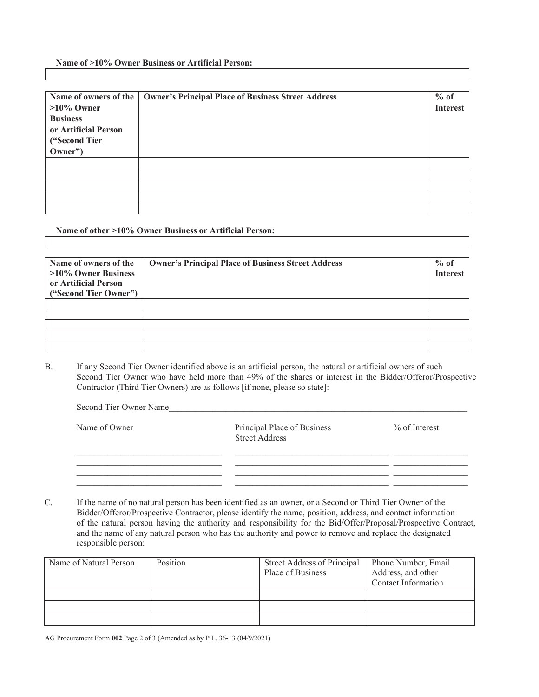**Name of >10% Owner Business or Artificial Person:**

| Name of owners of the | Owner's Principal Place of Business Street Address | $%$ of          |
|-----------------------|----------------------------------------------------|-----------------|
| $>10\%$ Owner         |                                                    | <b>Interest</b> |
| <b>Business</b>       |                                                    |                 |
| or Artificial Person  |                                                    |                 |
| ("Second Tier         |                                                    |                 |
| Owner")               |                                                    |                 |
|                       |                                                    |                 |
|                       |                                                    |                 |
|                       |                                                    |                 |
|                       |                                                    |                 |
|                       |                                                    |                 |

#### **Name of other >10% Owner Business or Artificial Person:**

| Name of owners of the<br>$>10\%$ Owner Business<br>or Artificial Person<br>("Second Tier Owner") | <b>Owner's Principal Place of Business Street Address</b> | $%$ of<br><b>Interest</b> |
|--------------------------------------------------------------------------------------------------|-----------------------------------------------------------|---------------------------|
|                                                                                                  |                                                           |                           |
|                                                                                                  |                                                           |                           |
|                                                                                                  |                                                           |                           |
|                                                                                                  |                                                           |                           |
|                                                                                                  |                                                           |                           |

B. If any Second Tier Owner identified above is an artificial person, the natural or artificial owners of such Second Tier Owner who have held more than 49% of the shares or interest in the Bidder/Offeror/Prospective Contractor (Third Tier Owners) are as follows [if none, please so state]:

| Second Tier Owner Name |                                                      |                 |
|------------------------|------------------------------------------------------|-----------------|
| Name of Owner          | Principal Place of Business<br><b>Street Address</b> | $%$ of Interest |
|                        |                                                      |                 |
|                        |                                                      |                 |

C. If the name of no natural person has been identified as an owner, or a Second or Third Tier Owner of the Bidder/Offeror/Prospective Contractor, please identify the name, position, address, and contact information of the natural person having the authority and responsibility for the Bid/Offer/Proposal/Prospective Contract, and the name of any natural person who has the authority and power to remove and replace the designated responsible person:

| Name of Natural Person | Position | Street Address of Principal | Phone Number, Email |
|------------------------|----------|-----------------------------|---------------------|
|                        |          | Place of Business           | Address, and other  |
|                        |          |                             | Contact Information |
|                        |          |                             |                     |
|                        |          |                             |                     |
|                        |          |                             |                     |

AG Procurement Form **002** Page 2 of 3 (Amended as by P.L. 36-13 (04/9/2021)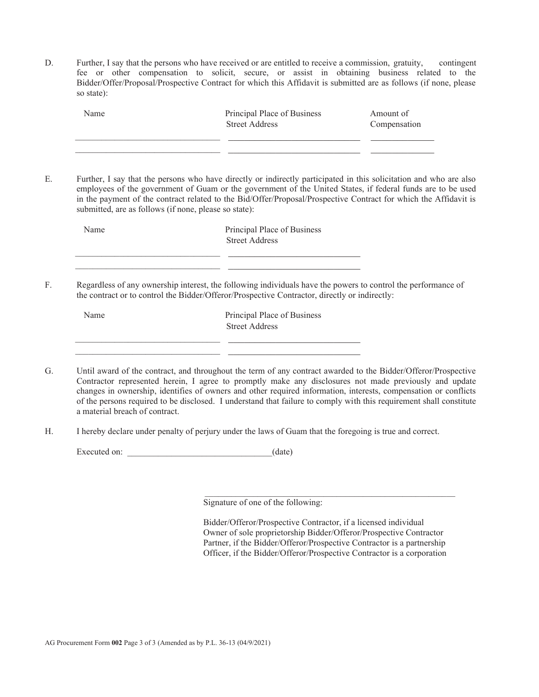D. Further, I say that the persons who have received or are entitled to receive a commission, gratuity, contingent fee or other compensation to solicit, secure, or assist in obtaining business related to the Bidder/Offer/Proposal/Prospective Contract for which this Affidavit is submitted are as follows (if none, please so state):

| Name | Principal Place of Business<br><b>Street Address</b> | Amount of<br>Compensation |
|------|------------------------------------------------------|---------------------------|
|      |                                                      |                           |

E. Further, I say that the persons who have directly or indirectly participated in this solicitation and who are also employees of the government of Guam or the government of the United States, if federal funds are to be used in the payment of the contract related to the Bid/Offer/Proposal/Prospective Contract for which the Affidavit is submitted, are as follows (if none, please so state):

|    | Name        | Principal Place of Business<br><b>Street Address</b>                                                                                                                                                           |
|----|-------------|----------------------------------------------------------------------------------------------------------------------------------------------------------------------------------------------------------------|
| F. |             | Regardless of any ownership interest, the following individuals have the powers to control the performance of<br>the contract or to control the Bidder/Offeror/Prospective Contractor, directly or indirectly: |
|    | $\lambda$ T | n'' ini cn'                                                                                                                                                                                                    |

| Name | Principal Place of Business |  |
|------|-----------------------------|--|
|      | <b>Street Address</b>       |  |
|      |                             |  |
|      |                             |  |
|      |                             |  |

- G. Until award of the contract, and throughout the term of any contract awarded to the Bidder/Offeror/Prospective Contractor represented herein, I agree to promptly make any disclosures not made previously and update changes in ownership, identifies of owners and other required information, interests, compensation or conflicts of the persons required to be disclosed. I understand that failure to comply with this requirement shall constitute a material breach of contract.
- H. I hereby declare under penalty of perjury under the laws of Guam that the foregoing is true and correct.

Executed on:  $(date)$ 

Signature of one of the following:

Bidder/Offeror/Prospective Contractor, if a licensed individual Owner of sole proprietorship Bidder/Offeror/Prospective Contractor Partner, if the Bidder/Offeror/Prospective Contractor is a partnership Officer, if the Bidder/Offeror/Prospective Contractor is a corporation

 $\mathcal{L}_\text{max} = \frac{1}{2} \sum_{i=1}^{n} \frac{1}{2} \sum_{i=1}^{n} \frac{1}{2} \sum_{i=1}^{n} \frac{1}{2} \sum_{i=1}^{n} \frac{1}{2} \sum_{i=1}^{n} \frac{1}{2} \sum_{i=1}^{n} \frac{1}{2} \sum_{i=1}^{n} \frac{1}{2} \sum_{i=1}^{n} \frac{1}{2} \sum_{i=1}^{n} \frac{1}{2} \sum_{i=1}^{n} \frac{1}{2} \sum_{i=1}^{n} \frac{1}{2} \sum_{i=1}^{n} \frac{1$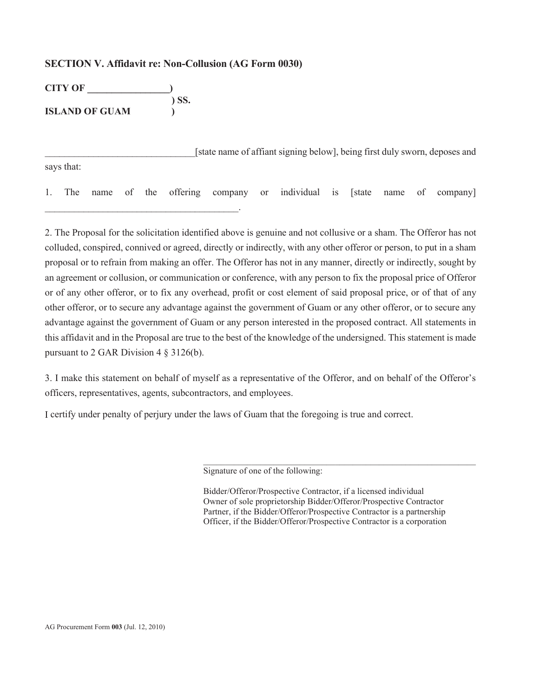#### **SECTION V. Affidavit re: Non-Collusion (AG Form 0030)**

| <b>CITY OF</b>        |         |
|-----------------------|---------|
|                       | $)$ SS. |
| <b>ISLAND OF GUAM</b> |         |

\_\_\_\_\_\_\_\_\_\_\_\_\_\_\_\_\_\_\_\_\_\_\_\_\_\_\_\_\_\_\_\_\_\_\_\_\_\_\_\_.

[state name of affiant signing below], being first duly sworn, deposes and says that:

1. The name of the offering company or individual is [state name of company]

2. The Proposal for the solicitation identified above is genuine and not collusive or a sham. The Offeror has not colluded, conspired, connived or agreed, directly or indirectly, with any other offeror or person, to put in a sham proposal or to refrain from making an offer. The Offeror has not in any manner, directly or indirectly, sought by an agreement or collusion, or communication or conference, with any person to fix the proposal price of Offeror or of any other offeror, or to fix any overhead, profit or cost element of said proposal price, or of that of any other offeror, or to secure any advantage against the government of Guam or any other offeror, or to secure any advantage against the government of Guam or any person interested in the proposed contract. All statements in this affidavit and in the Proposal are true to the best of the knowledge of the undersigned. This statement is made pursuant to 2 GAR Division 4 § 3126(b).

3. I make this statement on behalf of myself as a representative of the Offeror, and on behalf of the Offeror's officers, representatives, agents, subcontractors, and employees.

I certify under penalty of perjury under the laws of Guam that the foregoing is true and correct.

Signature of one of the following:

Bidder/Offeror/Prospective Contractor, if a licensed individual Owner of sole proprietorship Bidder/Offeror/Prospective Contractor Partner, if the Bidder/Offeror/Prospective Contractor is a partnership Officer, if the Bidder/Offeror/Prospective Contractor is a corporation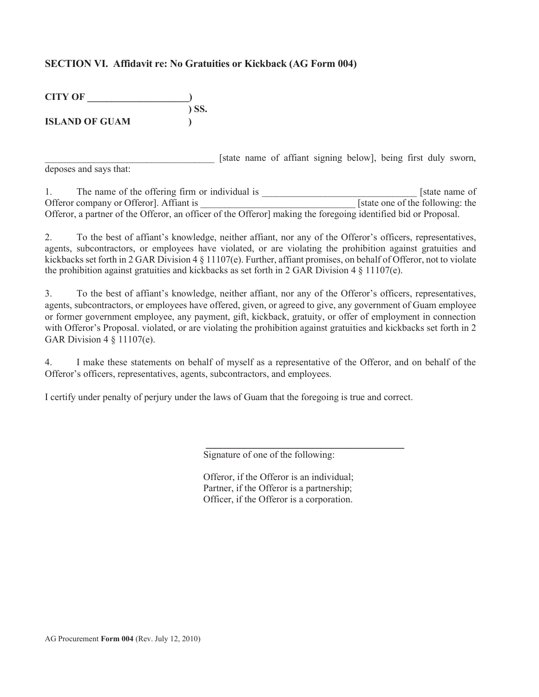## **SECTION VI. Affidavit re: No Gratuities or Kickback (AG Form 004)**

| <b>CITY OF</b>        |       |
|-----------------------|-------|
|                       | ) SS. |
| <b>ISLAND OF GUAM</b> |       |

[state name of affiant signing below], being first duly sworn, deposes and says that:

1. The name of the offering firm or individual is  $\blacksquare$  [state name of Offeror company or Offeror]. Affiant is <br>
State one of the following: the Offeror, a partner of the Offeror, an officer of the Offeror] making the foregoing identified bid or Proposal.

2. To the best of affiant's knowledge, neither affiant, nor any of the Offeror's officers, representatives, agents, subcontractors, or employees have violated, or are violating the prohibition against gratuities and kickbacks set forth in 2 GAR Division 4 § 11107(e). Further, affiant promises, on behalf of Offeror, not to violate the prohibition against gratuities and kickbacks as set forth in 2 GAR Division 4 § 11107(e).

3. To the best of affiant's knowledge, neither affiant, nor any of the Offeror's officers, representatives, agents, subcontractors, or employees have offered, given, or agreed to give, any government of Guam employee or former government employee, any payment, gift, kickback, gratuity, or offer of employment in connection with Offeror's Proposal. violated, or are violating the prohibition against gratuities and kickbacks set forth in 2 GAR Division 4 § 11107(e).

4. I make these statements on behalf of myself as a representative of the Offeror, and on behalf of the Offeror's officers, representatives, agents, subcontractors, and employees.

I certify under penalty of perjury under the laws of Guam that the foregoing is true and correct.

Signature of one of the following:

Offeror, if the Offeror is an individual; Partner, if the Offeror is a partnership; Officer, if the Offeror is a corporation.

\_\_\_\_\_\_\_\_\_\_\_\_\_\_\_\_\_\_\_\_\_\_\_\_\_\_\_\_\_\_\_\_\_\_\_\_\_\_\_\_\_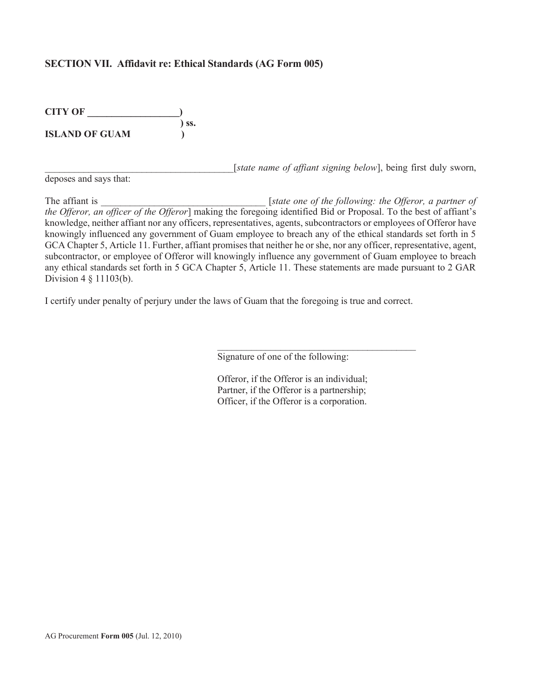### **SECTION VII. Affidavit re: Ethical Standards (AG Form 005)**

| <b>CITY OF</b>        |            |
|-----------------------|------------|
|                       | $\sum$ SS. |
| <b>ISLAND OF GUAM</b> |            |

[state name of affiant signing below], being first duly sworn,

deposes and says that:

The affiant is <br> **The affiant is** [*state one of the following: the Offeror, a partner of the Offeror, an officer of the Offeror*] making the foregoing identified Bid or Proposal. To the best of affiant's knowledge, neither affiant nor any officers, representatives, agents, subcontractors or employees of Offeror have knowingly influenced any government of Guam employee to breach any of the ethical standards set forth in 5 GCA Chapter 5, Article 11. Further, affiant promises that neither he or she, nor any officer, representative, agent, subcontractor, or employee of Offeror will knowingly influence any government of Guam employee to breach any ethical standards set forth in 5 GCA Chapter 5, Article 11. These statements are made pursuant to 2 GAR Division 4 § 11103(b).

I certify under penalty of perjury under the laws of Guam that the foregoing is true and correct.

Signature of one of the following:

Offeror, if the Offeror is an individual; Partner, if the Offeror is a partnership; Officer, if the Offeror is a corporation.

 $\mathcal{L}_\text{max}$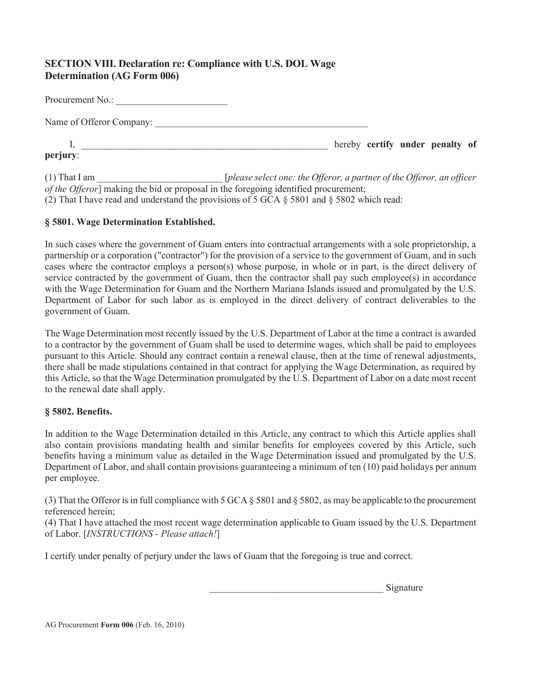# **SECTION VIII. Declaration re: Compliance with U.S. DOL Wage Determination (AG Form 006)**

| Procurement No.:         |  |                                 |  |
|--------------------------|--|---------------------------------|--|
| Name of Offeror Company: |  |                                 |  |
| perjury:                 |  | hereby certify under penalty of |  |

(1) That I am \_\_\_\_\_\_\_\_\_\_\_\_\_\_\_\_\_\_\_\_\_\_\_\_\_\_ [*please select one: the Offeror, a partner of the Offeror, an officer of the Offeror*] making the bid or proposal in the foregoing identified procurement; (2) That I have read and understand the provisions of 5 GCA  $\S$  5801 and  $\S$  5802 which read:

# **§ 5801. Wage Determination Established.**

In such cases where the government of Guam enters into contractual arrangements with a sole proprietorship, a partnership or a corporation ("contractor") for the provision of a service to the government of Guam, and in such cases where the contractor employs a person(s) whose purpose, in whole or in part, is the direct delivery of service contracted by the government of Guam, then the contractor shall pay such employee(s) in accordance with the Wage Determination for Guam and the Northern Mariana Islands issued and promulgated by the U.S. Department of Labor for such labor as is employed in the direct delivery of contract deliverables to the government of Guam.

The Wage Determination most recently issued by the U.S. Department of Labor at the time a contract is awarded to a contractor by the government of Guam shall be used to determine wages, which shall be paid to employees pursuant to this Article. Should any contract contain a renewal clause, then at the time of renewal adjustments, there shall be made stipulations contained in that contract for applying the Wage Determination, as required by this Article, so that the Wage Determination promulgated by the U.S. Department of Labor on a date most recent to the renewal date shall apply.

### **§ 5802. Benefits.**

In addition to the Wage Determination detailed in this Article, any contract to which this Article applies shall also contain provisions mandating health and similar benefits for employees covered by this Article, such benefits having a minimum value as detailed in the Wage Determination issued and promulgated by the U.S. Department of Labor, and shall contain provisions guaranteeing a minimum of ten (10) paid holidays per annum per employee.

(3) That the Offeror is in full compliance with 5 GCA § 5801 and § 5802, as may be applicable to the procurement referenced herein;

(4) That I have attached the most recent wage determination applicable to Guam issued by the U.S. Department of Labor. [*INSTRUCTIONS - Please attach!*]

I certify under penalty of perjury under the laws of Guam that the foregoing is true and correct.

\_\_\_\_\_\_\_\_\_\_\_\_\_\_\_\_\_\_\_\_\_\_\_\_\_\_\_\_\_\_\_\_\_\_\_\_ Signature